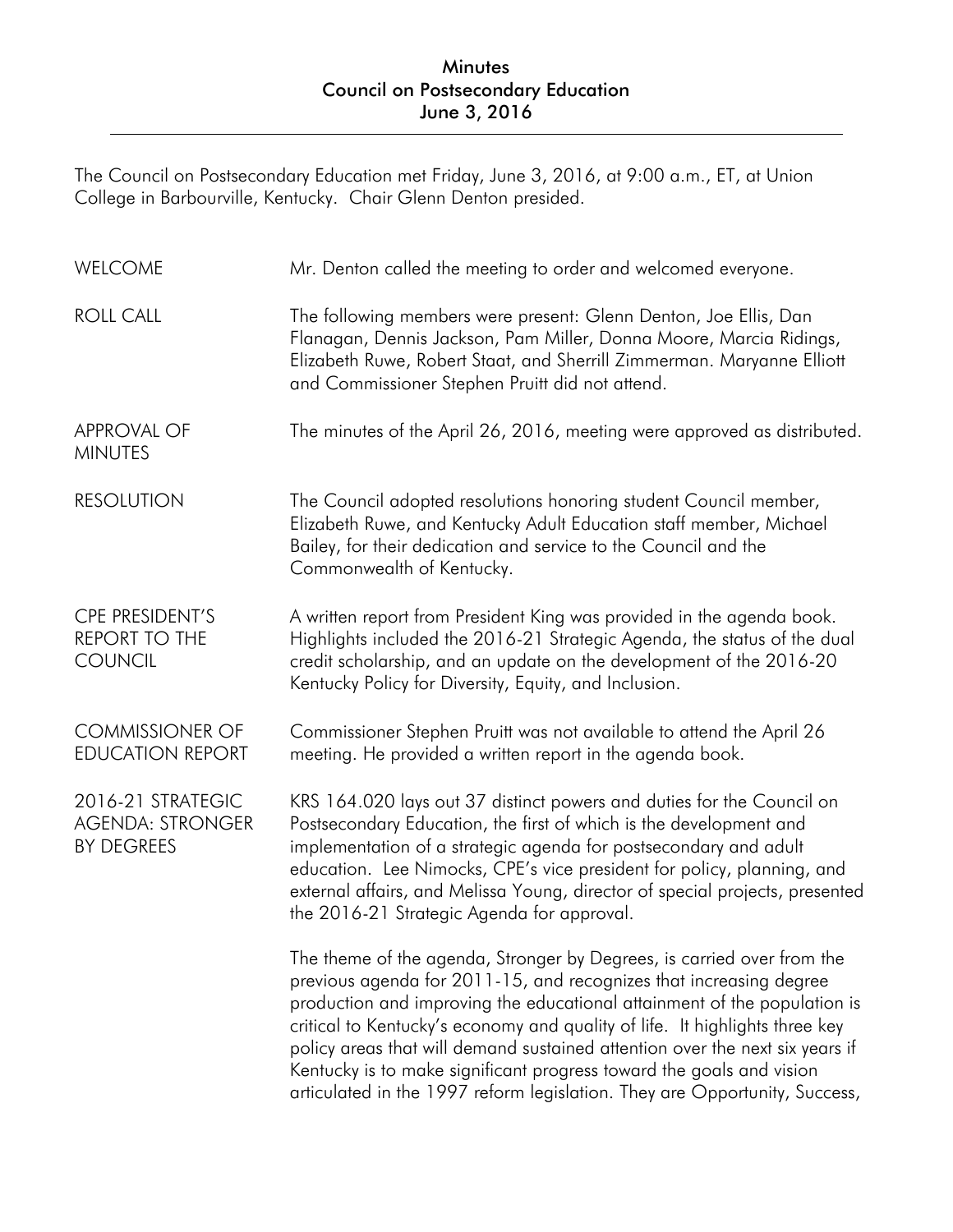## Minutes Council on Postsecondary Education June 3, 2016

The Council on Postsecondary Education met Friday, June 3, 2016, at 9:00 a.m., ET, at Union College in Barbourville, Kentucky. Chair Glenn Denton presided.

| WELCOME                                                           | Mr. Denton called the meeting to order and welcomed everyone.                                                                                                                                                                                                                                                                                                                                                                                                                                                                                 |
|-------------------------------------------------------------------|-----------------------------------------------------------------------------------------------------------------------------------------------------------------------------------------------------------------------------------------------------------------------------------------------------------------------------------------------------------------------------------------------------------------------------------------------------------------------------------------------------------------------------------------------|
| <b>ROLL CALL</b>                                                  | The following members were present: Glenn Denton, Joe Ellis, Dan<br>Flanagan, Dennis Jackson, Pam Miller, Donna Moore, Marcia Ridings,<br>Elizabeth Ruwe, Robert Staat, and Sherrill Zimmerman. Maryanne Elliott<br>and Commissioner Stephen Pruitt did not attend.                                                                                                                                                                                                                                                                           |
| <b>APPROVAL OF</b><br><b>MINUTES</b>                              | The minutes of the April 26, 2016, meeting were approved as distributed.                                                                                                                                                                                                                                                                                                                                                                                                                                                                      |
| <b>RESOLUTION</b>                                                 | The Council adopted resolutions honoring student Council member,<br>Elizabeth Ruwe, and Kentucky Adult Education staff member, Michael<br>Bailey, for their dedication and service to the Council and the<br>Commonwealth of Kentucky.                                                                                                                                                                                                                                                                                                        |
| CPE PRESIDENT'S<br><b>REPORT TO THE</b><br><b>COUNCIL</b>         | A written report from President King was provided in the agenda book.<br>Highlights included the 2016-21 Strategic Agenda, the status of the dual<br>credit scholarship, and an update on the development of the 2016-20<br>Kentucky Policy for Diversity, Equity, and Inclusion.                                                                                                                                                                                                                                                             |
| <b>COMMISSIONER OF</b><br><b>EDUCATION REPORT</b>                 | Commissioner Stephen Pruitt was not available to attend the April 26<br>meeting. He provided a written report in the agenda book.                                                                                                                                                                                                                                                                                                                                                                                                             |
| 2016-21 STRATEGIC<br><b>AGENDA: STRONGER</b><br><b>BY DEGREES</b> | KRS 164.020 lays out 37 distinct powers and duties for the Council on<br>Postsecondary Education, the first of which is the development and<br>implementation of a strategic agenda for postsecondary and adult<br>education. Lee Nimocks, CPE's vice president for policy, planning, and<br>external affairs, and Melissa Young, director of special projects, presented<br>the 2016-21 Strategic Agenda for approval.                                                                                                                       |
|                                                                   | The theme of the agenda, Stronger by Degrees, is carried over from the<br>previous agenda for 2011-15, and recognizes that increasing degree<br>production and improving the educational attainment of the population is<br>critical to Kentucky's economy and quality of life. It highlights three key<br>policy areas that will demand sustained attention over the next six years if<br>Kentucky is to make significant progress toward the goals and vision<br>articulated in the 1997 reform legislation. They are Opportunity, Success, |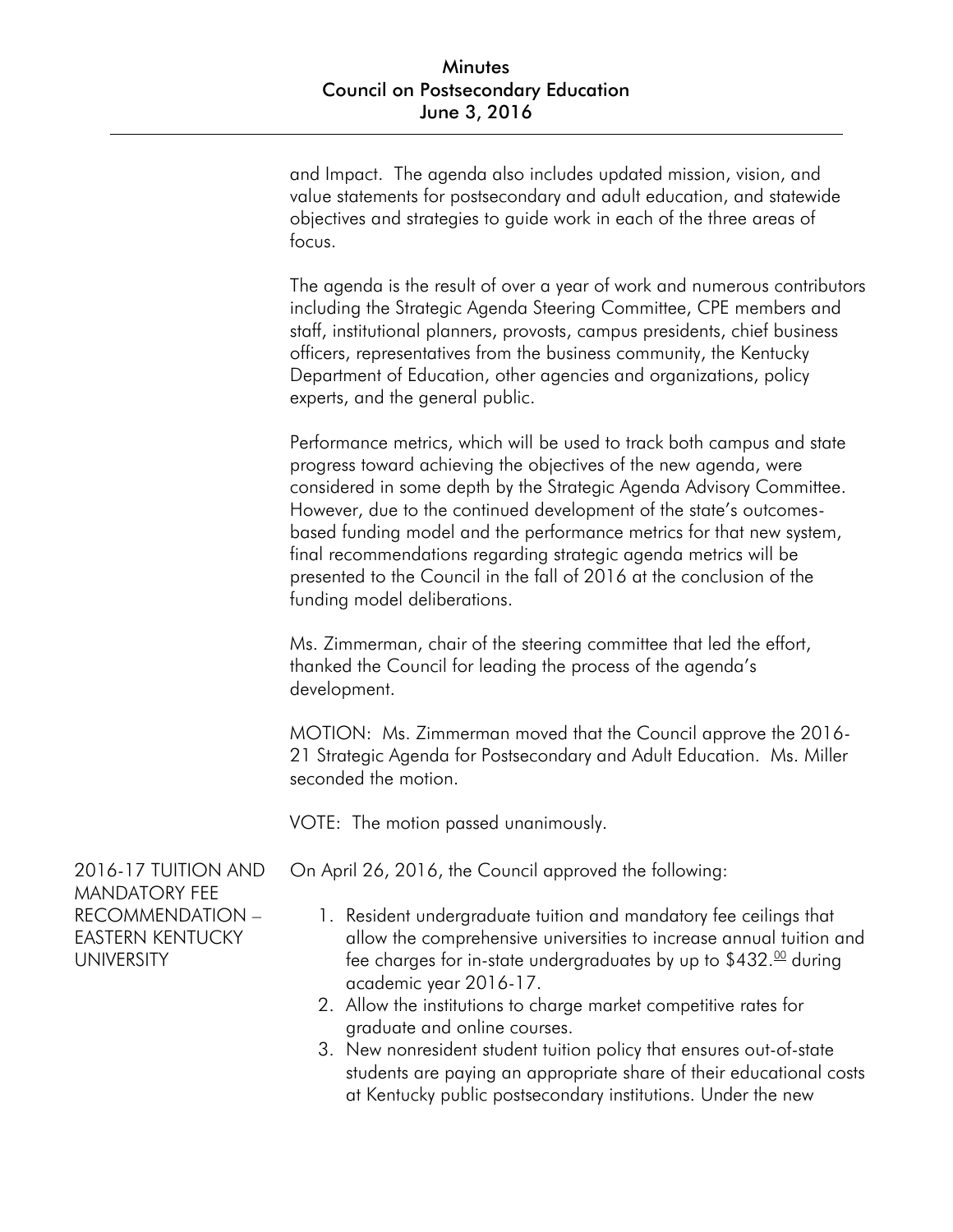and Impact. The agenda also includes updated mission, vision, and value statements for postsecondary and adult education, and statewide objectives and strategies to guide work in each of the three areas of focus.

The agenda is the result of over a year of work and numerous contributors including the Strategic Agenda Steering Committee, CPE members and staff, institutional planners, provosts, campus presidents, chief business officers, representatives from the business community, the Kentucky Department of Education, other agencies and organizations, policy experts, and the general public.

Performance metrics, which will be used to track both campus and state progress toward achieving the objectives of the new agenda, were considered in some depth by the Strategic Agenda Advisory Committee. However, due to the continued development of the state's outcomesbased funding model and the performance metrics for that new system, final recommendations regarding strategic agenda metrics will be presented to the Council in the fall of 2016 at the conclusion of the funding model deliberations.

Ms. Zimmerman, chair of the steering committee that led the effort, thanked the Council for leading the process of the agenda's development.

MOTION: Ms. Zimmerman moved that the Council approve the 2016- 21 Strategic Agenda for Postsecondary and Adult Education. Ms. Miller seconded the motion.

VOTE: The motion passed unanimously.

On April 26, 2016, the Council approved the following:

- 1. Resident undergraduate tuition and mandatory fee ceilings that allow the comprehensive universities to increase annual tuition and fee charges for in-state undergraduates by up to  $$432.00$  during academic year 2016-17.
- 2. Allow the institutions to charge market competitive rates for graduate and online courses.
- 3. New nonresident student tuition policy that ensures out-of-state students are paying an appropriate share of their educational costs at Kentucky public postsecondary institutions. Under the new

2016-17 TUITION AND MANDATORY FEE RECOMMENDATION – EASTERN KENTUCKY UNIVERSITY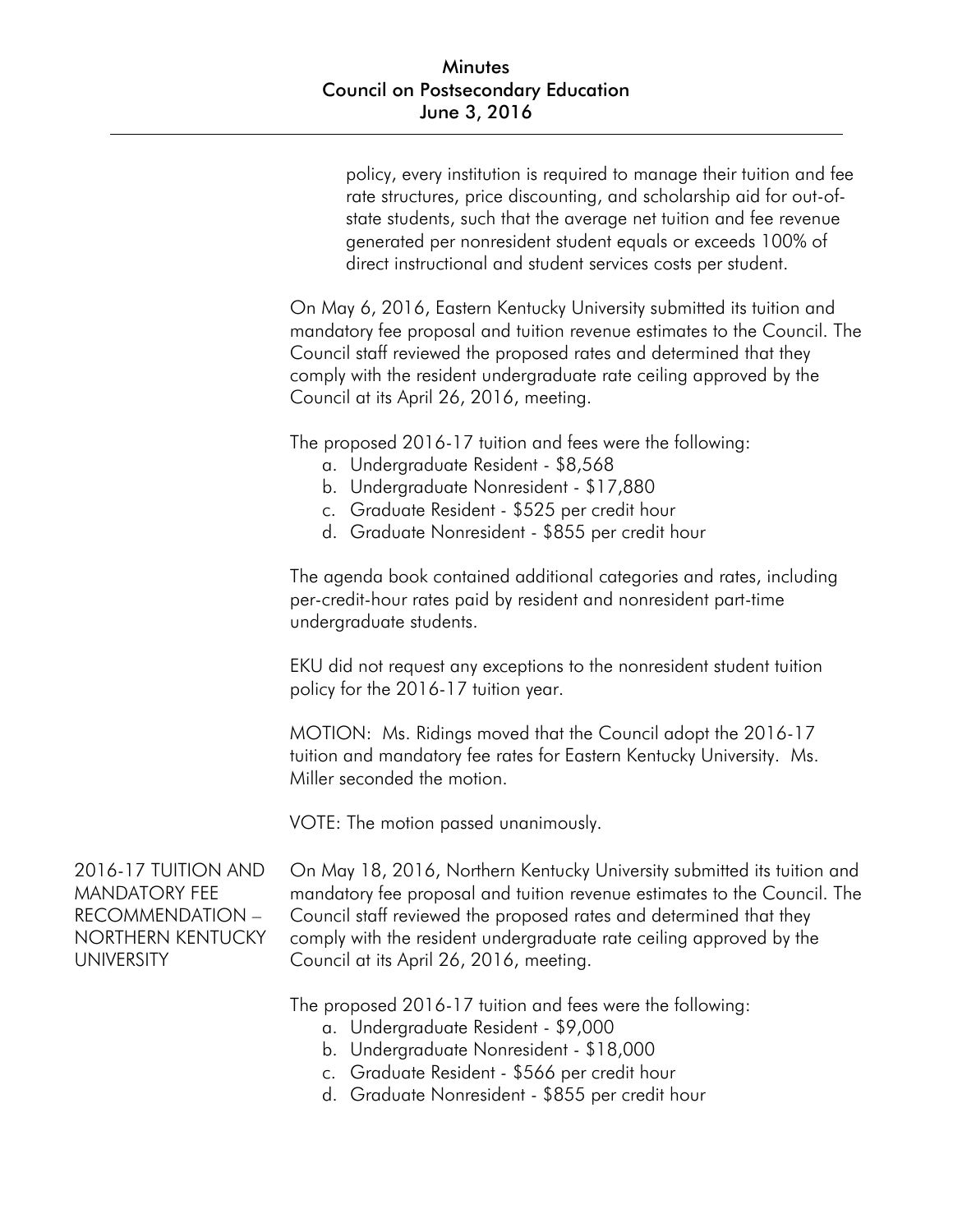policy, every institution is required to manage their tuition and fee rate structures, price discounting, and scholarship aid for out-ofstate students, such that the average net tuition and fee revenue generated per nonresident student equals or exceeds 100% of direct instructional and student services costs per student.

On May 6, 2016, Eastern Kentucky University submitted its tuition and mandatory fee proposal and tuition revenue estimates to the Council. The Council staff reviewed the proposed rates and determined that they comply with the resident undergraduate rate ceiling approved by the Council at its April 26, 2016, meeting.

The proposed 2016-17 tuition and fees were the following:

- a. Undergraduate Resident \$8,568
- b. Undergraduate Nonresident \$17,880
- c. Graduate Resident \$525 per credit hour
- d. Graduate Nonresident \$855 per credit hour

The agenda book contained additional categories and rates, including per-credit-hour rates paid by resident and nonresident part-time undergraduate students.

EKU did not request any exceptions to the nonresident student tuition policy for the 2016-17 tuition year.

MOTION: Ms. Ridings moved that the Council adopt the 2016-17 tuition and mandatory fee rates for Eastern Kentucky University. Ms. Miller seconded the motion.

VOTE: The motion passed unanimously.

2016-17 TUITION AND MANDATORY FEE RECOMMENDATION – NORTHERN KENTUCKY UNIVERSITY

On May 18, 2016, Northern Kentucky University submitted its tuition and mandatory fee proposal and tuition revenue estimates to the Council. The Council staff reviewed the proposed rates and determined that they comply with the resident undergraduate rate ceiling approved by the Council at its April 26, 2016, meeting.

The proposed 2016-17 tuition and fees were the following:

- a. Undergraduate Resident \$9,000
- b. Undergraduate Nonresident \$18,000
- c. Graduate Resident \$566 per credit hour
- d. Graduate Nonresident \$855 per credit hour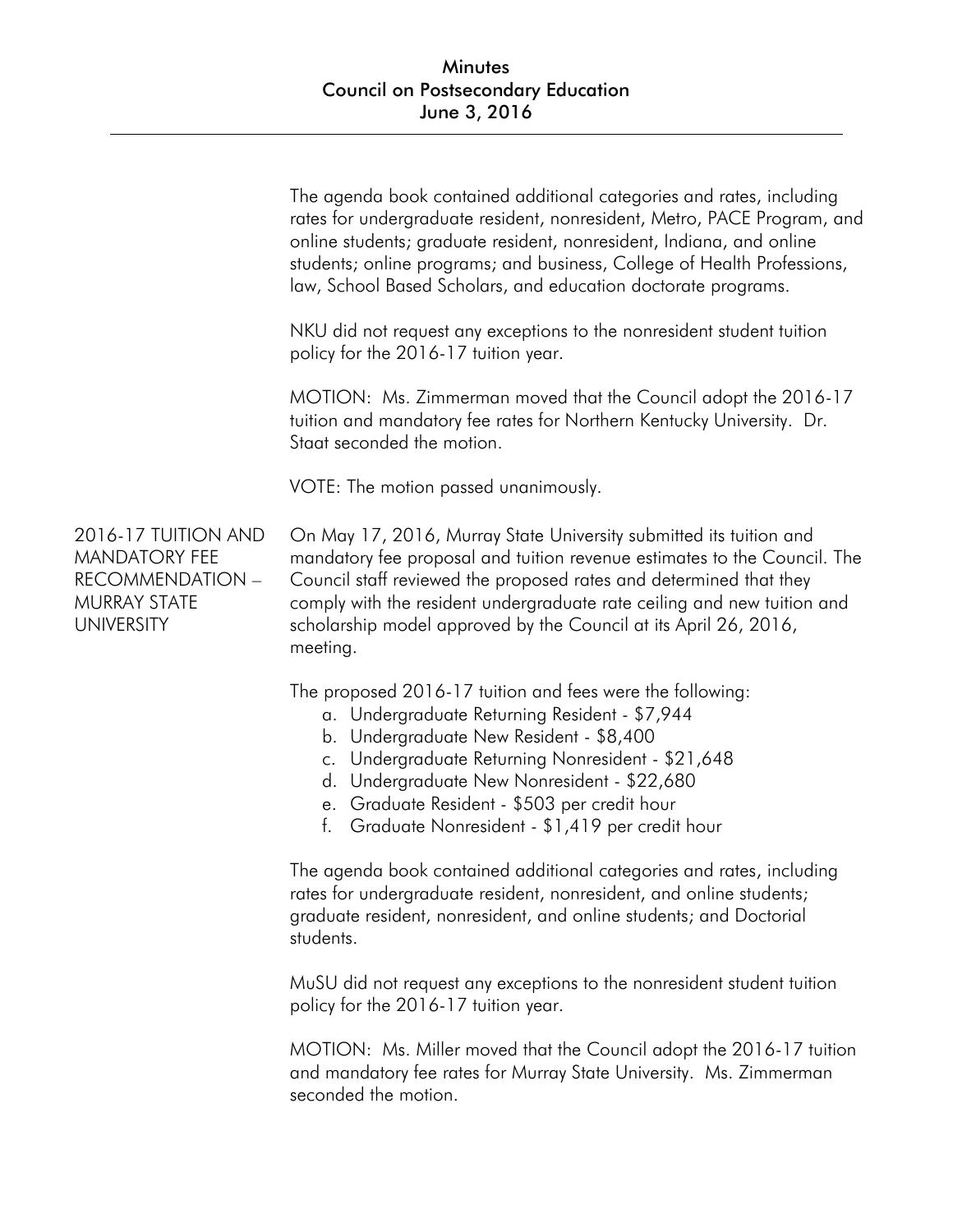|                                                                                                      | The agenda book contained additional categories and rates, including<br>rates for undergraduate resident, nonresident, Metro, PACE Program, and<br>online students; graduate resident, nonresident, Indiana, and online<br>students; online programs; and business, College of Health Professions,<br>law, School Based Scholars, and education doctorate programs.             |
|------------------------------------------------------------------------------------------------------|---------------------------------------------------------------------------------------------------------------------------------------------------------------------------------------------------------------------------------------------------------------------------------------------------------------------------------------------------------------------------------|
|                                                                                                      | NKU did not request any exceptions to the nonresident student tuition<br>policy for the 2016-17 tuition year.                                                                                                                                                                                                                                                                   |
|                                                                                                      | MOTION: Ms. Zimmerman moved that the Council adopt the 2016-17<br>tuition and mandatory fee rates for Northern Kentucky University. Dr.<br>Staat seconded the motion.                                                                                                                                                                                                           |
|                                                                                                      | VOTE: The motion passed unanimously.                                                                                                                                                                                                                                                                                                                                            |
| 2016-17 TUITION AND<br><b>MANDATORY FEE</b><br>RECOMMENDATION -<br>MURRAY STATE<br><b>UNIVERSITY</b> | On May 17, 2016, Murray State University submitted its tuition and<br>mandatory fee proposal and tuition revenue estimates to the Council. The<br>Council staff reviewed the proposed rates and determined that they<br>comply with the resident undergraduate rate ceiling and new tuition and<br>scholarship model approved by the Council at its April 26, 2016,<br>meeting. |
|                                                                                                      | The proposed 2016-17 tuition and fees were the following:<br>a. Undergraduate Returning Resident - \$7,944<br>b. Undergraduate New Resident - \$8,400<br>c. Undergraduate Returning Nonresident - \$21,648<br>d. Undergraduate New Nonresident - \$22,680<br>e. Graduate Resident - \$503 per credit hour<br>f. Graduate Nonresident - \$1,419 per credit hour                  |
|                                                                                                      | The agenda book contained additional categories and rates, including<br>rates for undergraduate resident, nonresident, and online students;<br>graduate resident, nonresident, and online students; and Doctorial<br>students.                                                                                                                                                  |
|                                                                                                      | MuSU did not request any exceptions to the nonresident student tuition                                                                                                                                                                                                                                                                                                          |

policy for the 2016-17 tuition year.

MOTION: Ms. Miller moved that the Council adopt the 2016-17 tuition and mandatory fee rates for Murray State University. Ms. Zimmerman seconded the motion.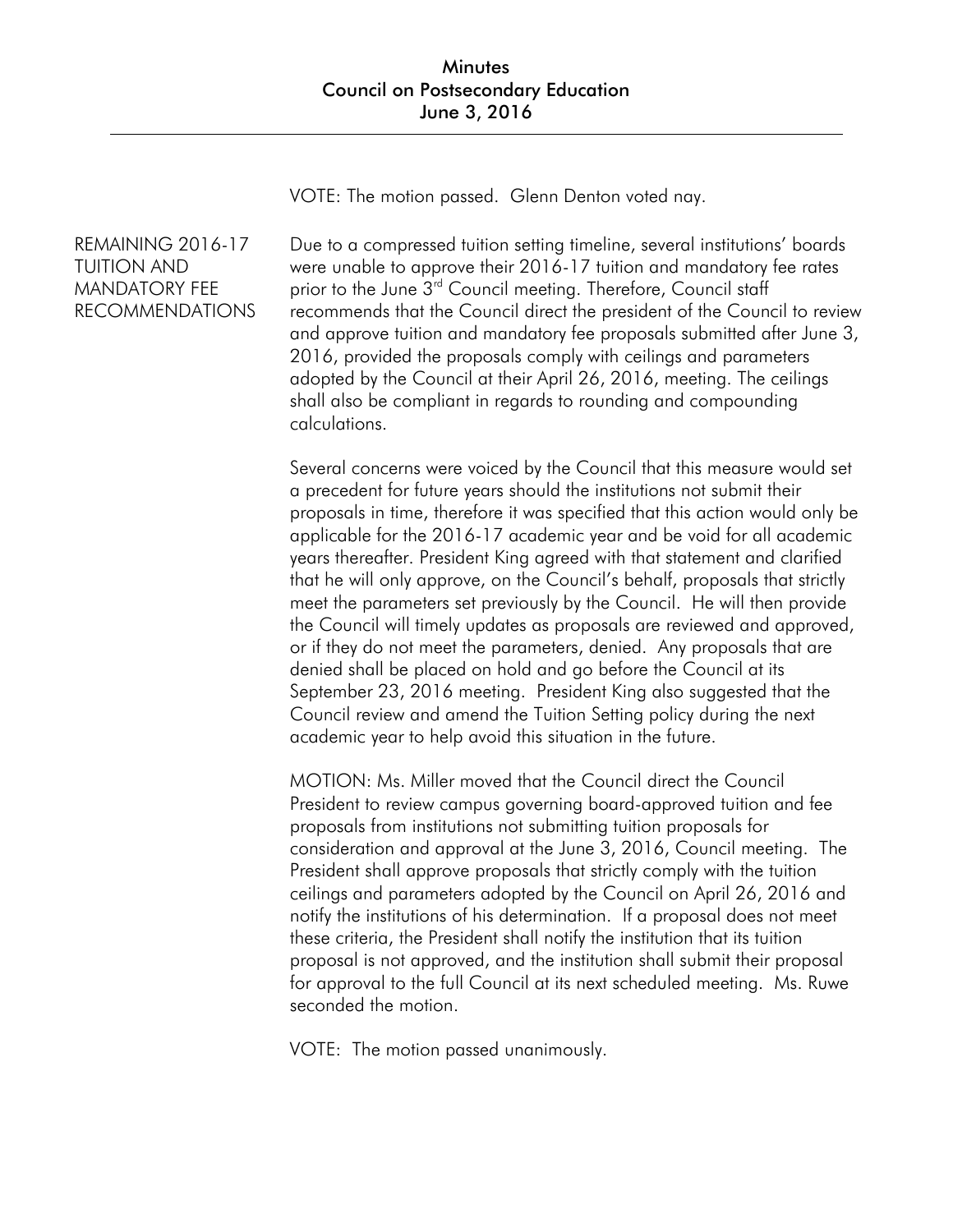VOTE: The motion passed. Glenn Denton voted nay.

## REMAINING 2016-17 TUITION AND MANDATORY FEE RECOMMENDATIONS

Due to a compressed tuition setting timeline, several institutions' boards were unable to approve their 2016-17 tuition and mandatory fee rates prior to the June 3<sup>rd</sup> Council meeting. Therefore, Council staff recommends that the Council direct the president of the Council to review and approve tuition and mandatory fee proposals submitted after June 3, 2016, provided the proposals comply with ceilings and parameters adopted by the Council at their April 26, 2016, meeting. The ceilings shall also be compliant in regards to rounding and compounding calculations.

Several concerns were voiced by the Council that this measure would set a precedent for future years should the institutions not submit their proposals in time, therefore it was specified that this action would only be applicable for the 2016-17 academic year and be void for all academic years thereafter. President King agreed with that statement and clarified that he will only approve, on the Council's behalf, proposals that strictly meet the parameters set previously by the Council. He will then provide the Council will timely updates as proposals are reviewed and approved, or if they do not meet the parameters, denied. Any proposals that are denied shall be placed on hold and go before the Council at its September 23, 2016 meeting. President King also suggested that the Council review and amend the Tuition Setting policy during the next academic year to help avoid this situation in the future.

MOTION: Ms. Miller moved that the Council direct the Council President to review campus governing board-approved tuition and fee proposals from institutions not submitting tuition proposals for consideration and approval at the June 3, 2016, Council meeting. The President shall approve proposals that strictly comply with the tuition ceilings and parameters adopted by the Council on April 26, 2016 and notify the institutions of his determination. If a proposal does not meet these criteria, the President shall notify the institution that its tuition proposal is not approved, and the institution shall submit their proposal for approval to the full Council at its next scheduled meeting. Ms. Ruwe seconded the motion.

VOTE: The motion passed unanimously.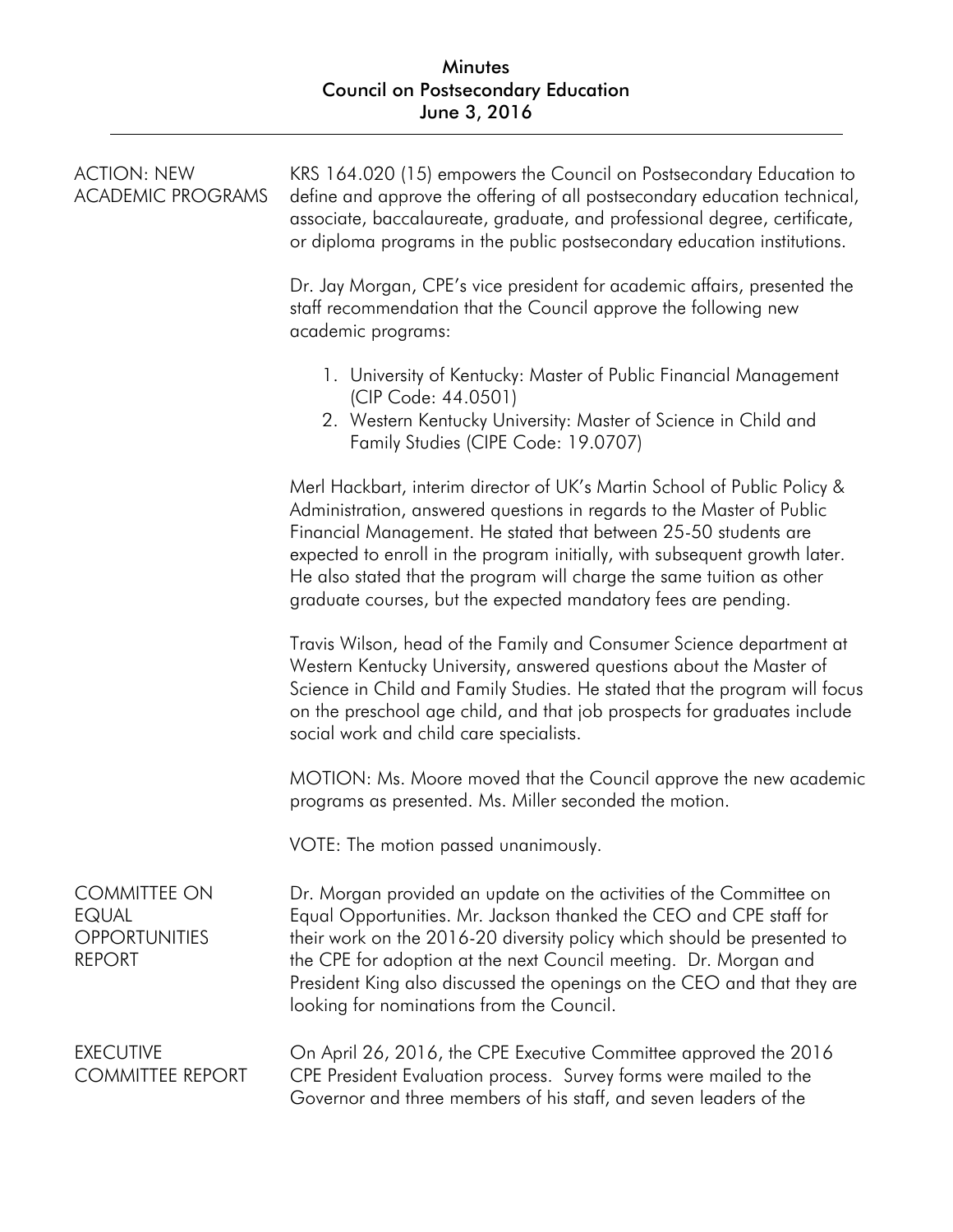## Minutes Council on Postsecondary Education June 3, 2016

| <b>ACTION: NEW</b><br><b>ACADEMIC PROGRAMS</b>                               | KRS 164.020 (15) empowers the Council on Postsecondary Education to<br>define and approve the offering of all postsecondary education technical,<br>associate, baccalaureate, graduate, and professional degree, certificate,<br>or diploma programs in the public postsecondary education institutions.                                                                                                                                      |
|------------------------------------------------------------------------------|-----------------------------------------------------------------------------------------------------------------------------------------------------------------------------------------------------------------------------------------------------------------------------------------------------------------------------------------------------------------------------------------------------------------------------------------------|
|                                                                              | Dr. Jay Morgan, CPE's vice president for academic affairs, presented the<br>staff recommendation that the Council approve the following new<br>academic programs:                                                                                                                                                                                                                                                                             |
|                                                                              | 1. University of Kentucky: Master of Public Financial Management<br>(CIP Code: 44.0501)<br>2. Western Kentucky University: Master of Science in Child and<br>Family Studies (CIPE Code: 19.0707)                                                                                                                                                                                                                                              |
|                                                                              | Merl Hackbart, interim director of UK's Martin School of Public Policy &<br>Administration, answered questions in regards to the Master of Public<br>Financial Management. He stated that between 25-50 students are<br>expected to enroll in the program initially, with subsequent growth later.<br>He also stated that the program will charge the same tuition as other<br>graduate courses, but the expected mandatory fees are pending. |
|                                                                              | Travis Wilson, head of the Family and Consumer Science department at<br>Western Kentucky University, answered questions about the Master of<br>Science in Child and Family Studies. He stated that the program will focus<br>on the preschool age child, and that job prospects for graduates include<br>social work and child care specialists.                                                                                              |
|                                                                              | MOTION: Ms. Moore moved that the Council approve the new academic<br>programs as presented. Ms. Miller seconded the motion.                                                                                                                                                                                                                                                                                                                   |
|                                                                              | VOTE: The motion passed unanimously.                                                                                                                                                                                                                                                                                                                                                                                                          |
| <b>COMMITTEE ON</b><br><b>EQUAL</b><br><b>OPPORTUNITIES</b><br><b>REPORT</b> | Dr. Morgan provided an update on the activities of the Committee on<br>Equal Opportunities. Mr. Jackson thanked the CEO and CPE staff for<br>their work on the 2016-20 diversity policy which should be presented to<br>the CPE for adoption at the next Council meeting. Dr. Morgan and<br>President King also discussed the openings on the CEO and that they are<br>looking for nominations from the Council.                              |
| <b>EXECUTIVE</b><br><b>COMMITTEE REPORT</b>                                  | On April 26, 2016, the CPE Executive Committee approved the 2016<br>CPE President Evaluation process. Survey forms were mailed to the<br>Governor and three members of his staff, and seven leaders of the                                                                                                                                                                                                                                    |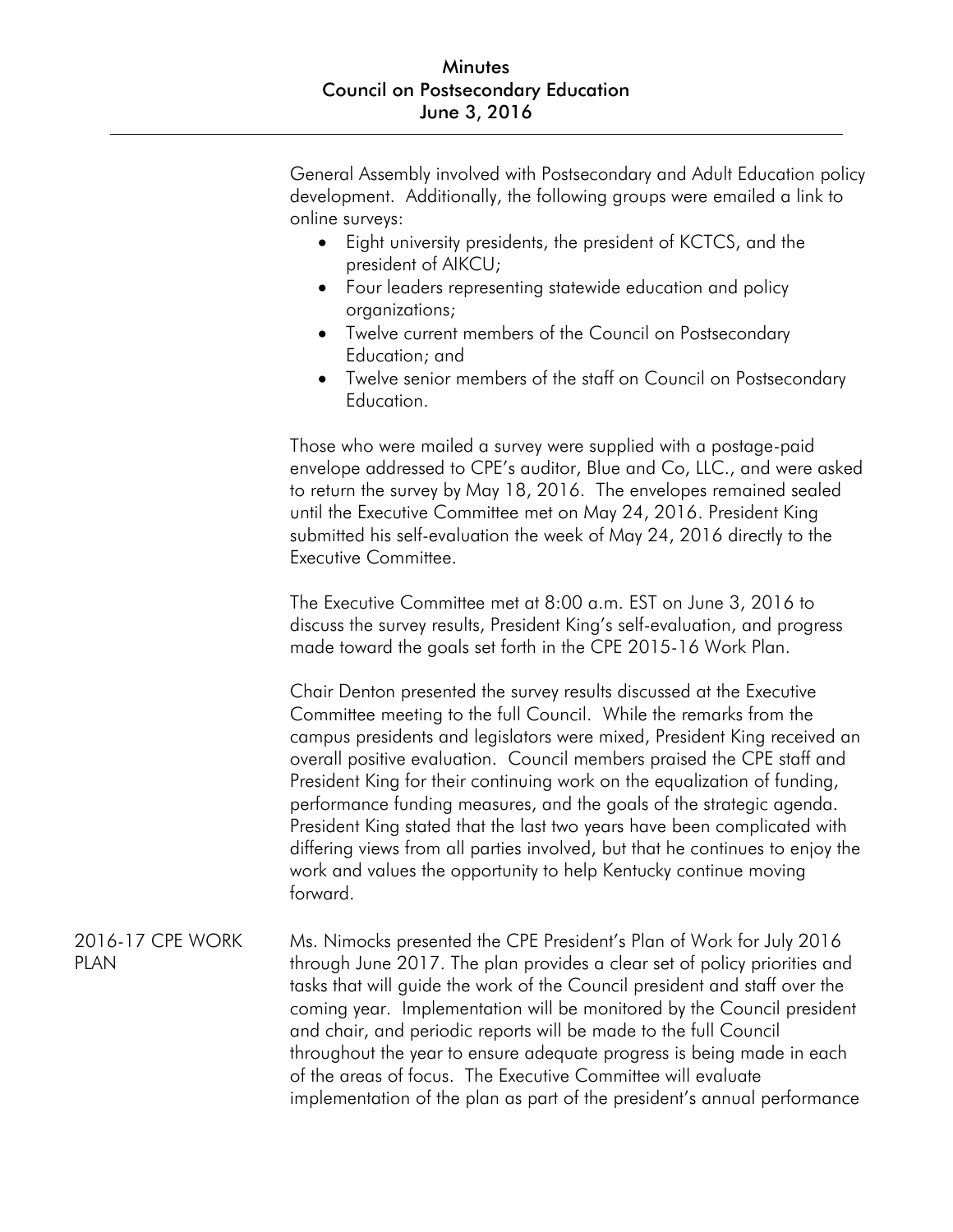General Assembly involved with Postsecondary and Adult Education policy development. Additionally, the following groups were emailed a link to online surveys:

- Eight university presidents, the president of KCTCS, and the president of AIKCU;
- Four leaders representing statewide education and policy organizations;
- Twelve current members of the Council on Postsecondary Education; and
- Twelve senior members of the staff on Council on Postsecondary Education.

Those who were mailed a survey were supplied with a postage-paid envelope addressed to CPE's auditor, Blue and Co, LLC., and were asked to return the survey by May 18, 2016. The envelopes remained sealed until the Executive Committee met on May 24, 2016. President King submitted his self-evaluation the week of May 24, 2016 directly to the Executive Committee.

The Executive Committee met at 8:00 a.m. EST on June 3, 2016 to discuss the survey results, President King's self-evaluation, and progress made toward the goals set forth in the CPE 2015-16 Work Plan.

Chair Denton presented the survey results discussed at the Executive Committee meeting to the full Council. While the remarks from the campus presidents and legislators were mixed, President King received an overall positive evaluation. Council members praised the CPE staff and President King for their continuing work on the equalization of funding, performance funding measures, and the goals of the strategic agenda. President King stated that the last two years have been complicated with differing views from all parties involved, but that he continues to enjoy the work and values the opportunity to help Kentucky continue moving forward.

2016-17 CPE WORK PLAN Ms. Nimocks presented the CPE President's Plan of Work for July 2016 through June 2017. The plan provides a clear set of policy priorities and tasks that will guide the work of the Council president and staff over the coming year. Implementation will be monitored by the Council president and chair, and periodic reports will be made to the full Council throughout the year to ensure adequate progress is being made in each of the areas of focus. The Executive Committee will evaluate implementation of the plan as part of the president's annual performance